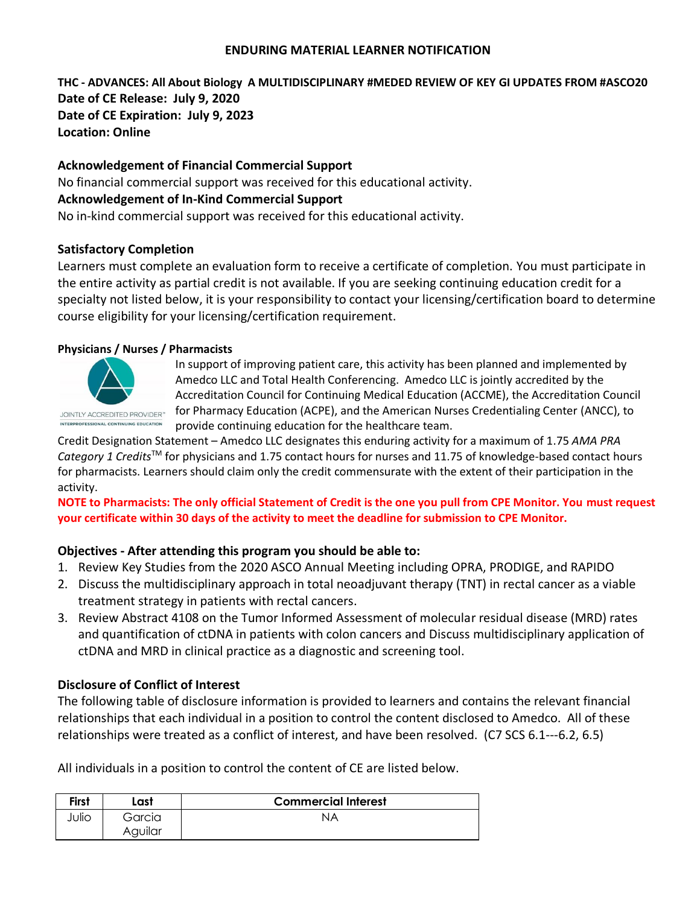## **ENDURING MATERIAL LEARNER NOTIFICATION**

# **THC - ADVANCES: All About Biology A MULTIDISCIPLINARY #MEDED REVIEW OF KEY GI UPDATES FROM #ASCO20 Date of CE Release: July 9, 2020 Date of CE Expiration: July 9, 2023 Location: Online**

# **Acknowledgement of Financial Commercial Support**

No financial commercial support was received for this educational activity. **Acknowledgement of In-Kind Commercial Support** No in-kind commercial support was received for this educational activity.

#### **Satisfactory Completion**

Learners must complete an evaluation form to receive a certificate of completion. You must participate in the entire activity as partial credit is not available. If you are seeking continuing education credit for a specialty not listed below, it is your responsibility to contact your licensing/certification board to determine course eligibility for your licensing/certification requirement.

#### **Physicians / Nurses / Pharmacists**



INTERPROFESSIONAL CONTINUING EDUCATION

In support of improving patient care, this activity has been planned and implemented by Amedco LLC and Total Health Conferencing. Amedco LLC is jointly accredited by the Accreditation Council for Continuing Medical Education (ACCME), the Accreditation Council for Pharmacy Education (ACPE), and the American Nurses Credentialing Center (ANCC), to provide continuing education for the healthcare team.

Credit Designation Statement – Amedco LLC designates this enduring activity for a maximum of 1.75 *AMA PRA Category 1 Credits*TM for physicians and 1.75 contact hours for nurses and 11.75 of knowledge-based contact hours for pharmacists. Learners should claim only the credit commensurate with the extent of their participation in the activity.

**NOTE to Pharmacists: The only official Statement of Credit is the one you pull from CPE Monitor. You must request your certificate within 30 days of the activity to meet the deadline for submission to CPE Monitor.**

## **Objectives - After attending this program you should be able to:**

- 1. Review Key Studies from the 2020 ASCO Annual Meeting including OPRA, PRODIGE, and RAPIDO
- 2. Discuss the multidisciplinary approach in total neoadjuvant therapy (TNT) in rectal cancer as a viable treatment strategy in patients with rectal cancers.
- 3. Review Abstract 4108 on the Tumor Informed Assessment of molecular residual disease (MRD) rates and quantification of ctDNA in patients with colon cancers and Discuss multidisciplinary application of ctDNA and MRD in clinical practice as a diagnostic and screening tool.

## **Disclosure of Conflict of Interest**

The following table of disclosure information is provided to learners and contains the relevant financial relationships that each individual in a position to control the content disclosed to Amedco. All of these relationships were treated as a conflict of interest, and have been resolved. (C7 SCS 6.1--‐6.2, 6.5)

All individuals in a position to control the content of CE are listed below.

| <b>First</b> | Last    | <b>Commercial Interest</b> |
|--------------|---------|----------------------------|
| Julio        | Garcia  | N٣                         |
|              | Aguilar |                            |